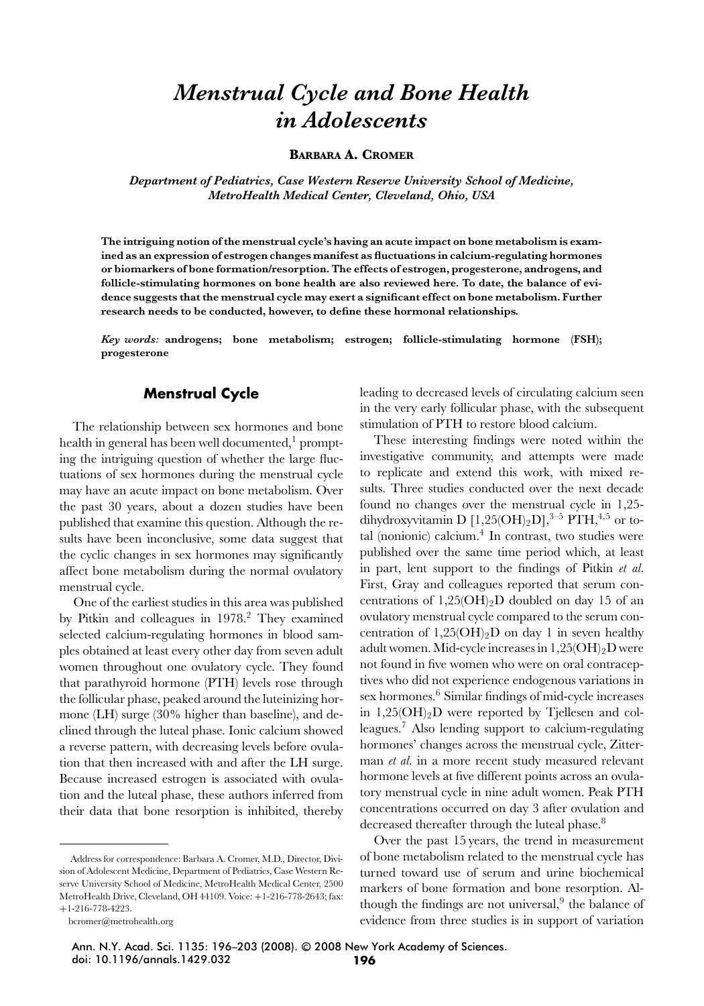# *Menstrual Cycle and Bone Health in Adolescents*

**BARBARA A. CROMER**

*Department of Pediatrics, Case Western Reserve University School of Medicine, MetroHealth Medical Center, Cleveland, Ohio, USA*

**The intriguing notion of the menstrual cycle's having an acute impact on bone metabolism is examined as an expression of estrogen changes manifest as fluctuations in calcium-regulating hormones or biomarkers of bone formation/resorption. The effects of estrogen, progesterone, androgens, and follicle-stimulating hormones on bone health are also reviewed here. To date, the balance of evidence suggests that the menstrual cycle may exert a significant effect on bone metabolism. Further research needs to be conducted, however, to define these hormonal relationships.**

*Key words:* **androgens; bone metabolism; estrogen; follicle-stimulating hormone (FSH); progesterone**

# **Menstrual Cycle**

The relationship between sex hormones and bone health in general has been well documented, $\frac{1}{2}$  prompting the intriguing question of whether the large fluctuations of sex hormones during the menstrual cycle may have an acute impact on bone metabolism. Over the past 30 years, about a dozen studies have been published that examine this question. Although the results have been inconclusive, some data suggest that the cyclic changes in sex hormones may significantly affect bone metabolism during the normal ovulatory menstrual cycle.

One of the earliest studies in this area was published by Pitkin and colleagues in 1978.<sup>2</sup> They examined selected calcium-regulating hormones in blood samples obtained at least every other day from seven adult women throughout one ovulatory cycle. They found that parathyroid hormone (PTH) levels rose through the follicular phase, peaked around the luteinizing hormone (LH) surge (30% higher than baseline), and declined through the luteal phase. Ionic calcium showed a reverse pattern, with decreasing levels before ovulation that then increased with and after the LH surge. Because increased estrogen is associated with ovulation and the luteal phase, these authors inferred from their data that bone resorption is inhibited, thereby leading to decreased levels of circulating calcium seen in the very early follicular phase, with the subsequent stimulation of PTH to restore blood calcium.

These interesting findings were noted within the investigative community, and attempts were made to replicate and extend this work, with mixed results. Three studies conducted over the next decade found no changes over the menstrual cycle in 1,25 dihydroxyvitamin D  $[1,25(OH)_2D]$ ,<sup>3–5</sup> PTH,<sup>4,5</sup> or total (nonionic) calcium.4 In contrast, two studies were published over the same time period which, at least in part, lent support to the findings of Pitkin *et al.* First, Gray and colleagues reported that serum concentrations of  $1,25(OH)<sub>2</sub>D$  doubled on day 15 of an ovulatory menstrual cycle compared to the serum concentration of  $1,25(OH)_2D$  on day 1 in seven healthy adult women. Mid-cycle increases in  $1,25(OH)_2D$  were not found in five women who were on oral contraceptives who did not experience endogenous variations in sex hormones.<sup>6</sup> Similar findings of mid-cycle increases in 1,25(OH)2D were reported by Tjellesen and colleagues.7 Also lending support to calcium-regulating hormones' changes across the menstrual cycle, Zitterman *et al.* in a more recent study measured relevant hormone levels at five different points across an ovulatory menstrual cycle in nine adult women. Peak PTH concentrations occurred on day 3 after ovulation and decreased thereafter through the luteal phase.<sup>8</sup>

Over the past 15 years, the trend in measurement of bone metabolism related to the menstrual cycle has turned toward use of serum and urine biochemical markers of bone formation and bone resorption. Although the findings are not universal, $9$  the balance of evidence from three studies is in support of variation

Ann. N.Y. Acad. Sci. 1135: 196–203 (2008). **-**<sup>C</sup> 2008 New York Academy of Sciences. doi: 10.1196/annals.1429.032 **196**

Address for correspondence: Barbara A. Cromer, M.D., Director, Division of Adolescent Medicine, Department of Pediatrics, Case Western Reserve University School of Medicine, MetroHealth Medical Center, 2500 MetroHealth Drive, Cleveland, OH 44109. Voice: +1-216-778-2643; fax: +1-216-778-4223.

bcromer@metrohealth.org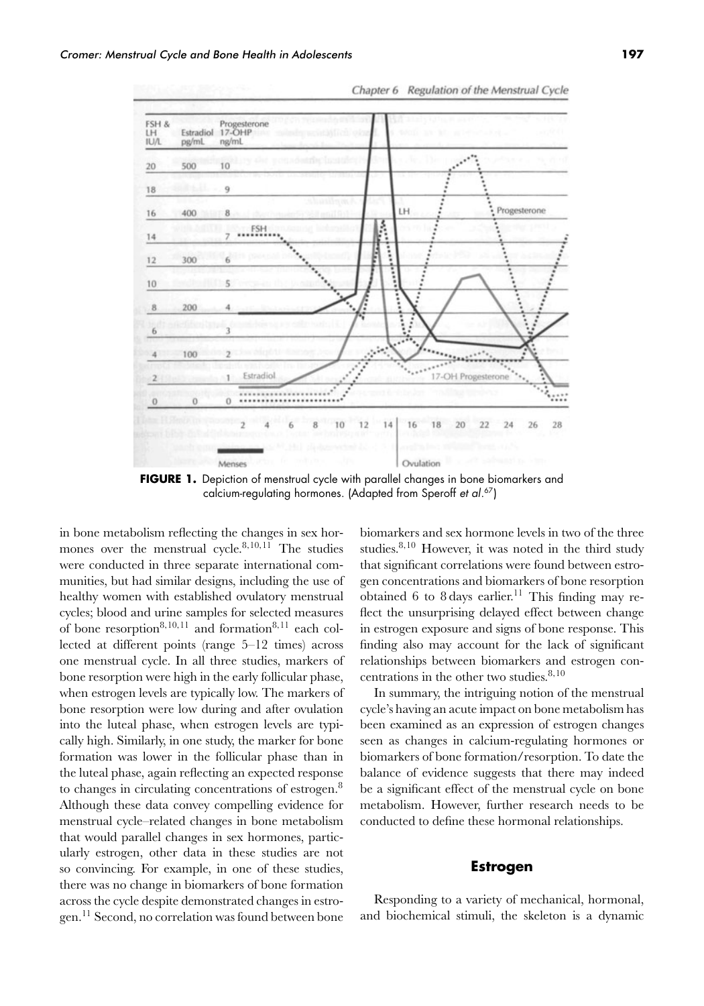

**FIGURE 1.** Depiction of menstrual cycle with parallel changes in bone biomarkers and calcium-regulating hormones. (Adapted from Speroff *et al*.<sup>67</sup>)

in bone metabolism reflecting the changes in sex hormones over the menstrual cycle.<sup>8</sup>*,*10*,*<sup>11</sup> The studies were conducted in three separate international communities, but had similar designs, including the use of healthy women with established ovulatory menstrual cycles; blood and urine samples for selected measures of bone resorption<sup>8,10,11</sup> and formation<sup>8,11</sup> each collected at different points (range 5–12 times) across one menstrual cycle. In all three studies, markers of bone resorption were high in the early follicular phase, when estrogen levels are typically low. The markers of bone resorption were low during and after ovulation into the luteal phase, when estrogen levels are typically high. Similarly, in one study, the marker for bone formation was lower in the follicular phase than in the luteal phase, again reflecting an expected response to changes in circulating concentrations of estrogen.<sup>8</sup> Although these data convey compelling evidence for menstrual cycle–related changes in bone metabolism that would parallel changes in sex hormones, particularly estrogen, other data in these studies are not so convincing. For example, in one of these studies, there was no change in biomarkers of bone formation across the cycle despite demonstrated changes in estrogen.<sup>11</sup> Second, no correlation was found between bone biomarkers and sex hormone levels in two of the three studies.8*,*<sup>10</sup> However, it was noted in the third study that significant correlations were found between estrogen concentrations and biomarkers of bone resorption obtained 6 to 8 days earlier.<sup>11</sup> This finding may reflect the unsurprising delayed effect between change in estrogen exposure and signs of bone response. This finding also may account for the lack of significant relationships between biomarkers and estrogen concentrations in the other two studies.<sup>8</sup>*,*<sup>10</sup>

Chapter 6 Regulation of the Menstrual Cycle

In summary, the intriguing notion of the menstrual cycle's having an acute impact on bone metabolism has been examined as an expression of estrogen changes seen as changes in calcium-regulating hormones or biomarkers of bone formation/resorption. To date the balance of evidence suggests that there may indeed be a significant effect of the menstrual cycle on bone metabolism. However, further research needs to be conducted to define these hormonal relationships.

#### **Estrogen**

Responding to a variety of mechanical, hormonal, and biochemical stimuli, the skeleton is a dynamic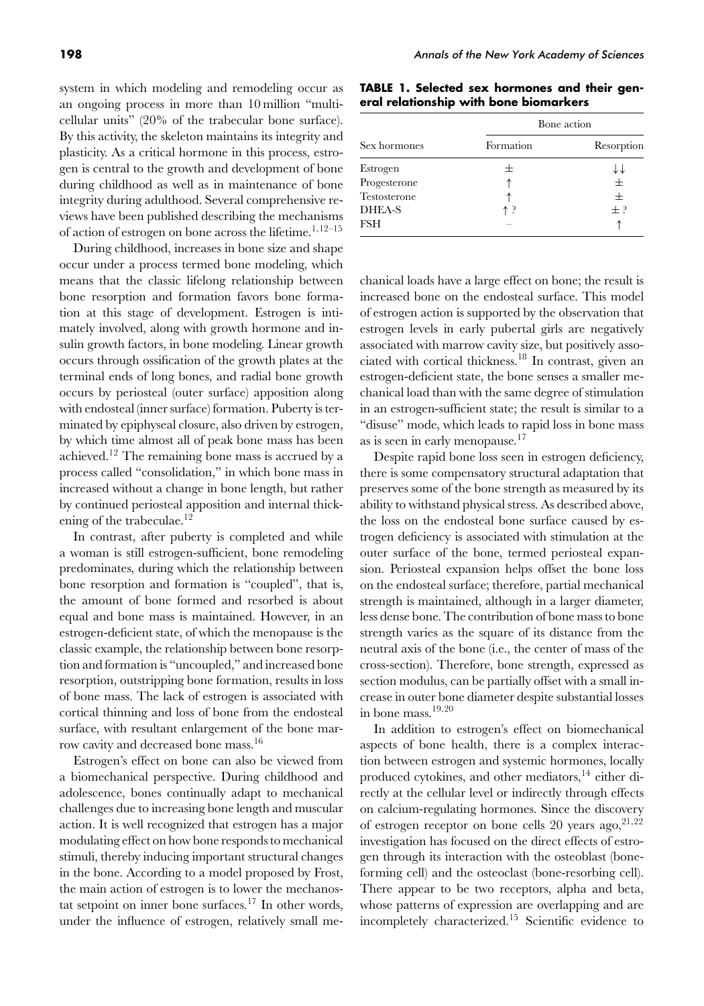system in which modeling and remodeling occur as an ongoing process in more than 10 million "multicellular units" (20% of the trabecular bone surface). By this activity, the skeleton maintains its integrity and plasticity. As a critical hormone in this process, estrogen is central to the growth and development of bone during childhood as well as in maintenance of bone integrity during adulthood. Several comprehensive reviews have been published describing the mechanisms of action of estrogen on bone across the lifetime.<sup>1</sup>*,*12–15

During childhood, increases in bone size and shape occur under a process termed bone modeling, which means that the classic lifelong relationship between bone resorption and formation favors bone formation at this stage of development. Estrogen is intimately involved, along with growth hormone and insulin growth factors, in bone modeling. Linear growth occurs through ossification of the growth plates at the terminal ends of long bones, and radial bone growth occurs by periosteal (outer surface) apposition along with endosteal (inner surface) formation. Puberty is terminated by epiphyseal closure, also driven by estrogen, by which time almost all of peak bone mass has been achieved.<sup>12</sup> The remaining bone mass is accrued by a process called "consolidation," in which bone mass in increased without a change in bone length, but rather by continued periosteal apposition and internal thickening of the trabeculae.<sup>12</sup>

In contrast, after puberty is completed and while a woman is still estrogen-sufficient, bone remodeling predominates, during which the relationship between bone resorption and formation is "coupled", that is, the amount of bone formed and resorbed is about equal and bone mass is maintained. However, in an estrogen-deficient state, of which the menopause is the classic example, the relationship between bone resorption and formation is "uncoupled," and increased bone resorption, outstripping bone formation, results in loss of bone mass. The lack of estrogen is associated with cortical thinning and loss of bone from the endosteal surface, with resultant enlargement of the bone marrow cavity and decreased bone mass.<sup>16</sup>

Estrogen's effect on bone can also be viewed from a biomechanical perspective. During childhood and adolescence, bones continually adapt to mechanical challenges due to increasing bone length and muscular action. It is well recognized that estrogen has a major modulating effect on how bone responds to mechanical stimuli, thereby inducing important structural changes in the bone. According to a model proposed by Frost, the main action of estrogen is to lower the mechanostat setpoint on inner bone surfaces.<sup>17</sup> In other words, under the influence of estrogen, relatively small me-

|  |  | TABLE 1. Selected sex hormones and their gen- |  |  |
|--|--|-----------------------------------------------|--|--|
|  |  | eral relationship with bone biomarkers        |  |  |

|               | Bone action |            |  |  |
|---------------|-------------|------------|--|--|
| Sex hormones  | Formation   | Resorption |  |  |
| Estrogen      |             |            |  |  |
| Progesterone  |             | $\pm$      |  |  |
| Testosterone  |             | $+$        |  |  |
| <b>DHEA-S</b> | ተ ?         | $+$ ?      |  |  |
| <b>FSH</b>    |             |            |  |  |

chanical loads have a large effect on bone; the result is increased bone on the endosteal surface. This model of estrogen action is supported by the observation that estrogen levels in early pubertal girls are negatively associated with marrow cavity size, but positively associated with cortical thickness.<sup>18</sup> In contrast, given an estrogen-deficient state, the bone senses a smaller mechanical load than with the same degree of stimulation in an estrogen-sufficient state; the result is similar to a "disuse" mode, which leads to rapid loss in bone mass as is seen in early menopause.<sup>17</sup>

Despite rapid bone loss seen in estrogen deficiency, there is some compensatory structural adaptation that preserves some of the bone strength as measured by its ability to withstand physical stress. As described above, the loss on the endosteal bone surface caused by estrogen deficiency is associated with stimulation at the outer surface of the bone, termed periosteal expansion. Periosteal expansion helps offset the bone loss on the endosteal surface; therefore, partial mechanical strength is maintained, although in a larger diameter, less dense bone. The contribution of bone mass to bone strength varies as the square of its distance from the neutral axis of the bone (i.e., the center of mass of the cross-section). Therefore, bone strength, expressed as section modulus, can be partially offset with a small increase in outer bone diameter despite substantial losses in bone mass.<sup>19</sup>*,*<sup>20</sup>

In addition to estrogen's effect on biomechanical aspects of bone health, there is a complex interaction between estrogen and systemic hormones, locally produced cytokines, and other mediators,  $14$  either directly at the cellular level or indirectly through effects on calcium-regulating hormones. Since the discovery of estrogen receptor on bone cells 20 years ago,<sup>21,22</sup> investigation has focused on the direct effects of estrogen through its interaction with the osteoblast (boneforming cell) and the osteoclast (bone-resorbing cell). There appear to be two receptors, alpha and beta, whose patterns of expression are overlapping and are incompletely characterized.<sup>15</sup> Scientific evidence to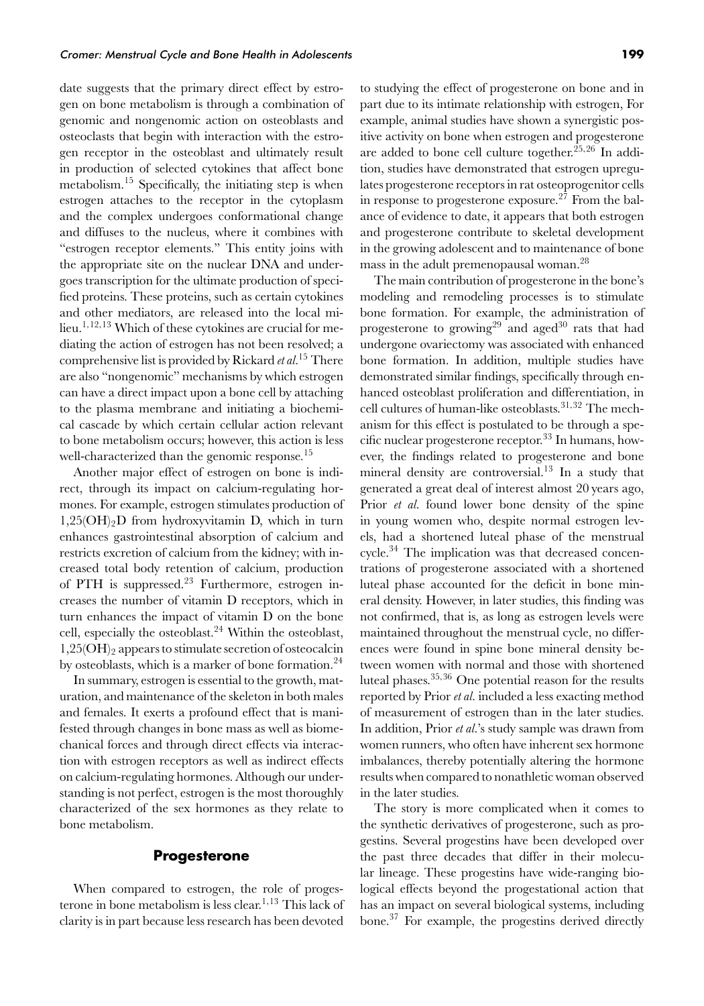date suggests that the primary direct effect by estrogen on bone metabolism is through a combination of genomic and nongenomic action on osteoblasts and osteoclasts that begin with interaction with the estrogen receptor in the osteoblast and ultimately result in production of selected cytokines that affect bone metabolism.<sup>15</sup> Specifically, the initiating step is when estrogen attaches to the receptor in the cytoplasm and the complex undergoes conformational change and diffuses to the nucleus, where it combines with "estrogen receptor elements." This entity joins with the appropriate site on the nuclear DNA and undergoes transcription for the ultimate production of specified proteins. These proteins, such as certain cytokines and other mediators, are released into the local milieu.1*,*12*,*<sup>13</sup> Which of these cytokines are crucial for mediating the action of estrogen has not been resolved; a comprehensive list is provided by Rickard *et al.*<sup>15</sup> There are also "nongenomic" mechanisms by which estrogen can have a direct impact upon a bone cell by attaching to the plasma membrane and initiating a biochemical cascade by which certain cellular action relevant to bone metabolism occurs; however, this action is less well-characterized than the genomic response.<sup>15</sup>

Another major effect of estrogen on bone is indirect, through its impact on calcium-regulating hormones. For example, estrogen stimulates production of 1,25(OH)2D from hydroxyvitamin D, which in turn enhances gastrointestinal absorption of calcium and restricts excretion of calcium from the kidney; with increased total body retention of calcium, production of PTH is suppressed. $^{23}$  Furthermore, estrogen increases the number of vitamin D receptors, which in turn enhances the impact of vitamin D on the bone cell, especially the osteoblast.<sup>24</sup> Within the osteoblast,  $1,25(OH)$ <sup>2</sup> appears to stimulate secretion of osteocalcin by osteoblasts, which is a marker of bone formation.<sup>24</sup>

In summary, estrogen is essential to the growth, maturation, and maintenance of the skeleton in both males and females. It exerts a profound effect that is manifested through changes in bone mass as well as biomechanical forces and through direct effects via interaction with estrogen receptors as well as indirect effects on calcium-regulating hormones. Although our understanding is not perfect, estrogen is the most thoroughly characterized of the sex hormones as they relate to bone metabolism.

## **Progesterone**

When compared to estrogen, the role of progesterone in bone metabolism is less clear.<sup>1</sup>*,*<sup>13</sup> This lack of clarity is in part because less research has been devoted to studying the effect of progesterone on bone and in part due to its intimate relationship with estrogen, For example, animal studies have shown a synergistic positive activity on bone when estrogen and progesterone are added to bone cell culture together.<sup>25</sup>*,*<sup>26</sup> In addition, studies have demonstrated that estrogen upregulates progesterone receptors in rat osteoprogenitor cells in response to progesterone exposure.<sup>27</sup> From the balance of evidence to date, it appears that both estrogen and progesterone contribute to skeletal development in the growing adolescent and to maintenance of bone mass in the adult premenopausal woman.<sup>28</sup>

The main contribution of progesterone in the bone's modeling and remodeling processes is to stimulate bone formation. For example, the administration of progesterone to growing<sup>29</sup> and aged<sup>30</sup> rats that had undergone ovariectomy was associated with enhanced bone formation. In addition, multiple studies have demonstrated similar findings, specifically through enhanced osteoblast proliferation and differentiation, in cell cultures of human-like osteoblasts.31*,*<sup>32</sup> The mechanism for this effect is postulated to be through a specific nuclear progesterone receptor. $33$  In humans, however, the findings related to progesterone and bone mineral density are controversial.<sup>13</sup> In a study that generated a great deal of interest almost 20 years ago, Prior *et al.* found lower bone density of the spine in young women who, despite normal estrogen levels, had a shortened luteal phase of the menstrual cycle.34 The implication was that decreased concentrations of progesterone associated with a shortened luteal phase accounted for the deficit in bone mineral density. However, in later studies, this finding was not confirmed, that is, as long as estrogen levels were maintained throughout the menstrual cycle, no differences were found in spine bone mineral density between women with normal and those with shortened luteal phases.<sup>35</sup>*,*<sup>36</sup> One potential reason for the results reported by Prior *et al.* included a less exacting method of measurement of estrogen than in the later studies. In addition, Prior *et al.*'s study sample was drawn from women runners, who often have inherent sex hormone imbalances, thereby potentially altering the hormone results when compared to nonathletic woman observed in the later studies.

The story is more complicated when it comes to the synthetic derivatives of progesterone, such as progestins. Several progestins have been developed over the past three decades that differ in their molecular lineage. These progestins have wide-ranging biological effects beyond the progestational action that has an impact on several biological systems, including bone.<sup>37</sup> For example, the progestins derived directly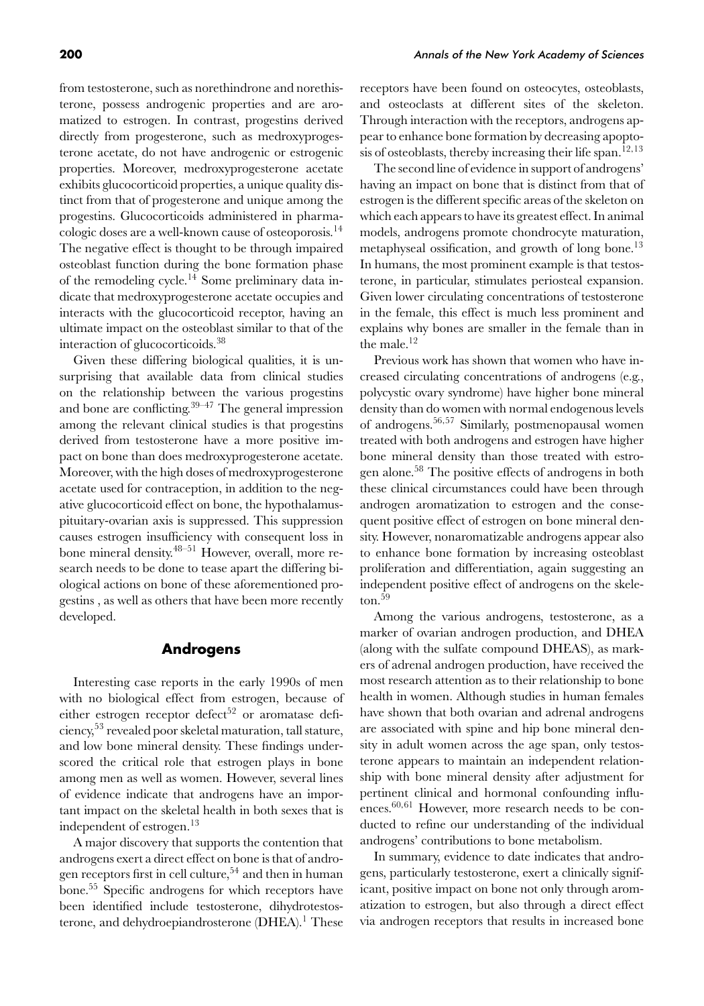from testosterone, such as norethindrone and norethisterone, possess androgenic properties and are aromatized to estrogen. In contrast, progestins derived directly from progesterone, such as medroxyprogesterone acetate, do not have androgenic or estrogenic properties. Moreover, medroxyprogesterone acetate exhibits glucocorticoid properties, a unique quality distinct from that of progesterone and unique among the progestins. Glucocorticoids administered in pharmacologic doses are a well-known cause of osteoporosis.<sup>14</sup> The negative effect is thought to be through impaired osteoblast function during the bone formation phase of the remodeling cycle.<sup>14</sup> Some preliminary data indicate that medroxyprogesterone acetate occupies and interacts with the glucocorticoid receptor, having an ultimate impact on the osteoblast similar to that of the interaction of glucocorticoids.<sup>38</sup>

Given these differing biological qualities, it is unsurprising that available data from clinical studies on the relationship between the various progestins and bone are conflicting.  $39-47$  The general impression among the relevant clinical studies is that progestins derived from testosterone have a more positive impact on bone than does medroxyprogesterone acetate. Moreover, with the high doses of medroxyprogesterone acetate used for contraception, in addition to the negative glucocorticoid effect on bone, the hypothalamuspituitary-ovarian axis is suppressed. This suppression causes estrogen insufficiency with consequent loss in bone mineral density.48–51 However, overall, more research needs to be done to tease apart the differing biological actions on bone of these aforementioned progestins , as well as others that have been more recently developed.

#### **Androgens**

Interesting case reports in the early 1990s of men with no biological effect from estrogen, because of either estrogen receptor defect<sup>52</sup> or aromatase deficiency,<sup>53</sup> revealed poor skeletal maturation, tall stature, and low bone mineral density. These findings underscored the critical role that estrogen plays in bone among men as well as women. However, several lines of evidence indicate that androgens have an important impact on the skeletal health in both sexes that is independent of estrogen.<sup>13</sup>

A major discovery that supports the contention that androgens exert a direct effect on bone is that of androgen receptors first in cell culture,<sup>54</sup> and then in human bone.<sup>55</sup> Specific androgens for which receptors have been identified include testosterone, dihydrotestosterone, and dehydroepiandrosterone  $(DHEA)^T$  These receptors have been found on osteocytes, osteoblasts, and osteoclasts at different sites of the skeleton. Through interaction with the receptors, androgens appear to enhance bone formation by decreasing apoptosis of osteoblasts, thereby increasing their life span.<sup>12,13</sup>

The second line of evidence in support of androgens' having an impact on bone that is distinct from that of estrogen is the different specific areas of the skeleton on which each appears to have its greatest effect. In animal models, androgens promote chondrocyte maturation, metaphyseal ossification, and growth of long bone. $^{13}$ In humans, the most prominent example is that testosterone, in particular, stimulates periosteal expansion. Given lower circulating concentrations of testosterone in the female, this effect is much less prominent and explains why bones are smaller in the female than in the male.<sup>12</sup>

Previous work has shown that women who have increased circulating concentrations of androgens (e.g., polycystic ovary syndrome) have higher bone mineral density than do women with normal endogenous levels of androgens.56*,*<sup>57</sup> Similarly, postmenopausal women treated with both androgens and estrogen have higher bone mineral density than those treated with estrogen alone.<sup>58</sup> The positive effects of androgens in both these clinical circumstances could have been through androgen aromatization to estrogen and the consequent positive effect of estrogen on bone mineral density. However, nonaromatizable androgens appear also to enhance bone formation by increasing osteoblast proliferation and differentiation, again suggesting an independent positive effect of androgens on the skele- $\mathrm{ton.}^{59}$ 

Among the various androgens, testosterone, as a marker of ovarian androgen production, and DHEA (along with the sulfate compound DHEAS), as markers of adrenal androgen production, have received the most research attention as to their relationship to bone health in women. Although studies in human females have shown that both ovarian and adrenal androgens are associated with spine and hip bone mineral density in adult women across the age span, only testosterone appears to maintain an independent relationship with bone mineral density after adjustment for pertinent clinical and hormonal confounding influences.<sup>60</sup>*,*<sup>61</sup> However, more research needs to be conducted to refine our understanding of the individual androgens' contributions to bone metabolism.

In summary, evidence to date indicates that androgens, particularly testosterone, exert a clinically significant, positive impact on bone not only through aromatization to estrogen, but also through a direct effect via androgen receptors that results in increased bone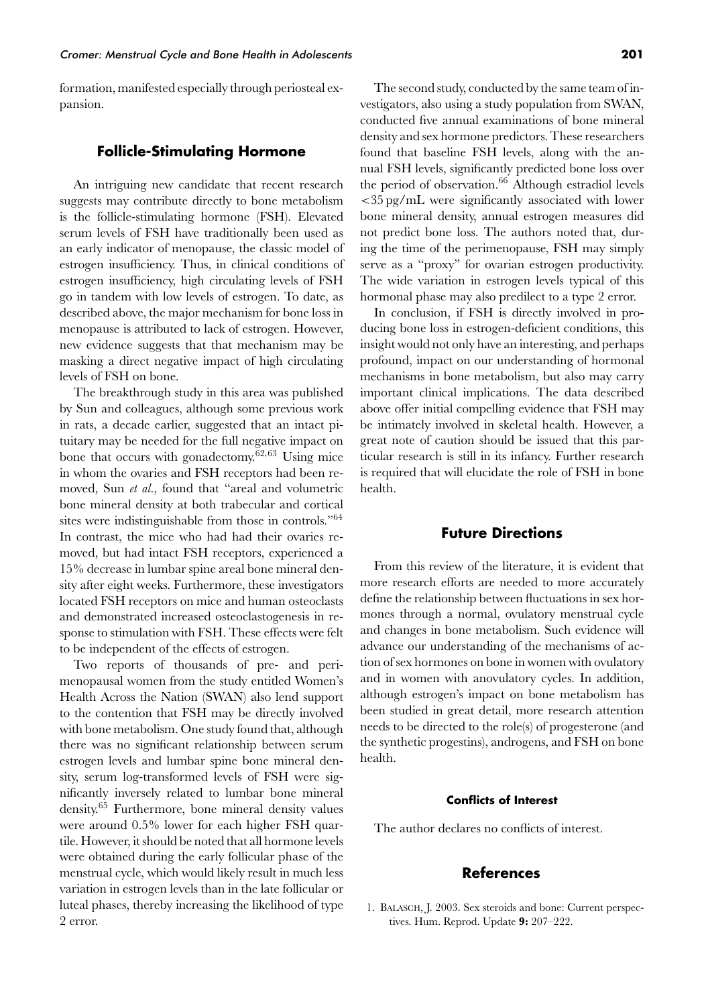formation, manifested especially through periosteal expansion.

## **Follicle-Stimulating Hormone**

An intriguing new candidate that recent research suggests may contribute directly to bone metabolism is the follicle-stimulating hormone (FSH). Elevated serum levels of FSH have traditionally been used as an early indicator of menopause, the classic model of estrogen insufficiency. Thus, in clinical conditions of estrogen insufficiency, high circulating levels of FSH go in tandem with low levels of estrogen. To date, as described above, the major mechanism for bone loss in menopause is attributed to lack of estrogen. However, new evidence suggests that that mechanism may be masking a direct negative impact of high circulating levels of FSH on bone.

The breakthrough study in this area was published by Sun and colleagues, although some previous work in rats, a decade earlier, suggested that an intact pituitary may be needed for the full negative impact on bone that occurs with gonadectomy.62*,*<sup>63</sup> Using mice in whom the ovaries and FSH receptors had been removed, Sun *et al.*, found that "areal and volumetric bone mineral density at both trabecular and cortical sites were indistinguishable from those in controls."<sup>64</sup> In contrast, the mice who had had their ovaries removed, but had intact FSH receptors, experienced a 15% decrease in lumbar spine areal bone mineral density after eight weeks. Furthermore, these investigators located FSH receptors on mice and human osteoclasts and demonstrated increased osteoclastogenesis in response to stimulation with FSH. These effects were felt to be independent of the effects of estrogen.

Two reports of thousands of pre- and perimenopausal women from the study entitled Women's Health Across the Nation (SWAN) also lend support to the contention that FSH may be directly involved with bone metabolism. One study found that, although there was no significant relationship between serum estrogen levels and lumbar spine bone mineral density, serum log-transformed levels of FSH were significantly inversely related to lumbar bone mineral density.<sup>65</sup> Furthermore, bone mineral density values were around 0.5% lower for each higher FSH quartile. However, it should be noted that all hormone levels were obtained during the early follicular phase of the menstrual cycle, which would likely result in much less variation in estrogen levels than in the late follicular or luteal phases, thereby increasing the likelihood of type 2 error.

The second study, conducted by the same team of investigators, also using a study population from SWAN, conducted five annual examinations of bone mineral density and sex hormone predictors. These researchers found that baseline FSH levels, along with the annual FSH levels, significantly predicted bone loss over the period of observation.<sup>66</sup> Although estradiol levels *<*35 pg/mL were significantly associated with lower bone mineral density, annual estrogen measures did not predict bone loss. The authors noted that, during the time of the perimenopause, FSH may simply serve as a "proxy" for ovarian estrogen productivity. The wide variation in estrogen levels typical of this hormonal phase may also predilect to a type 2 error.

In conclusion, if FSH is directly involved in producing bone loss in estrogen-deficient conditions, this insight would not only have an interesting, and perhaps profound, impact on our understanding of hormonal mechanisms in bone metabolism, but also may carry important clinical implications. The data described above offer initial compelling evidence that FSH may be intimately involved in skeletal health. However, a great note of caution should be issued that this particular research is still in its infancy. Further research is required that will elucidate the role of FSH in bone health.

## **Future Directions**

From this review of the literature, it is evident that more research efforts are needed to more accurately define the relationship between fluctuations in sex hormones through a normal, ovulatory menstrual cycle and changes in bone metabolism. Such evidence will advance our understanding of the mechanisms of action of sex hormones on bone in women with ovulatory and in women with anovulatory cycles. In addition, although estrogen's impact on bone metabolism has been studied in great detail, more research attention needs to be directed to the role(s) of progesterone (and the synthetic progestins), androgens, and FSH on bone health.

#### **Conflicts of Interest**

The author declares no conflicts of interest.

## **References**

1. BALASCH, J. 2003. Sex steroids and bone: Current perspectives. Hum. Reprod. Update **9:** 207–222.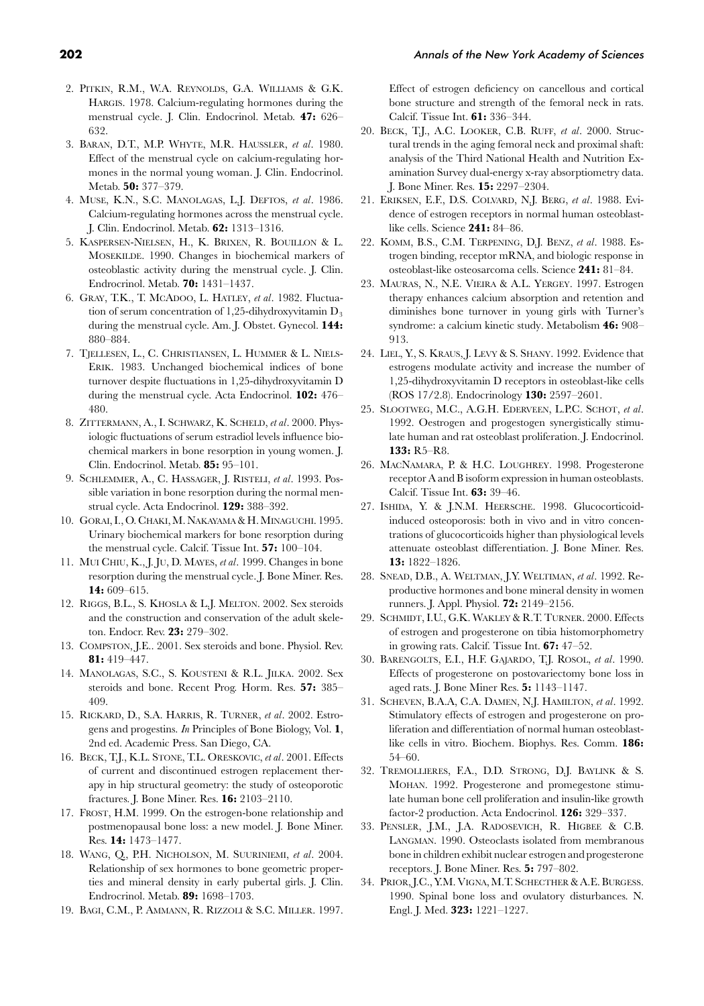- 2. PITKIN, R.M., W.A. REYNOLDS, G.A. WILLIAMS & G.K. HARGIS. 1978. Calcium-regulating hormones during the menstrual cycle. J. Clin. Endocrinol. Metab. **47:** 626– 632.
- 3. BARAN, D.T., M.P. WHYTE, M.R. HAUSSLER, *et al*. 1980. Effect of the menstrual cycle on calcium-regulating hormones in the normal young woman. J. Clin. Endocrinol. Metab. **50:** 377–379.
- 4. MUSE, K.N., S.C. MANOLAGAS, L.J. DEFTOS, *et al*. 1986. Calcium-regulating hormones across the menstrual cycle. J. Clin. Endocrinol. Metab. **62:** 1313–1316.
- 5. KASPERSEN-NIELSEN, H., K. BRIXEN, R. BOUILLON & L. MOSEKILDE. 1990. Changes in biochemical markers of osteoblastic activity during the menstrual cycle. J. Clin. Endrocrinol. Metab. **70:** 1431–1437.
- 6. GRAY, T.K., T. MCADOO, L. HATLEY, *et al*. 1982. Fluctuation of serum concentration of 1,25-dihydroxyvitamin  $D_3$ during the menstrual cycle. Am. J. Obstet. Gynecol. **144:** 880–884.
- 7. TJELLESEN, L., C. CHRISTIANSEN, L. HUMMER & L. NIELS-ERIK. 1983. Unchanged biochemical indices of bone turnover despite fluctuations in 1,25-dihydroxyvitamin D during the menstrual cycle. Acta Endocrinol. **102:** 476– 480.
- 8. ZITTERMANN, A., I. SCHWARZ, K. SCHELD, *et al*. 2000. Physiologic fluctuations of serum estradiol levels influence biochemical markers in bone resorption in young women. J. Clin. Endocrinol. Metab. **85:** 95–101.
- 9. SCHLEMMER, A., C. HASSAGER, J. RISTELI, *et al*. 1993. Possible variation in bone resorption during the normal menstrual cycle. Acta Endocrinol. **129:** 388–392.
- 10. GORAI, I., O. CHAKI, M. NAKAYAMA & H. MINAGUCHI. 1995. Urinary biochemical markers for bone resorption during the menstrual cycle. Calcif. Tissue Int. **57:** 100–104.
- 11. MUI CHIU, K., J. JU, D. MAYES, *et al*. 1999. Changes in bone resorption during the menstrual cycle. J. Bone Miner. Res. **14:** 609–615.
- 12. RIGGS, B.L., S. KHOSLA & L.J. MELTON. 2002. Sex steroids and the construction and conservation of the adult skeleton. Endocr. Rev. **23:** 279–302.
- 13. COMPSTON, J.E.. 2001. Sex steroids and bone. Physiol. Rev. **81:** 419–447.
- 14. MANOLAGAS, S.C., S. KOUSTENI & R.L. JILKA. 2002. Sex steroids and bone. Recent Prog. Horm. Res. **57:** 385– 409.
- 15. RICKARD, D., S.A. HARRIS, R. TURNER, *et al*. 2002. Estrogens and progestins. *In* Principles of Bone Biology, Vol. **1**, 2nd ed. Academic Press. San Diego, CA.
- 16. BECK, T.J., K.L. STONE, T.L. ORESKOVIC, *et al*. 2001. Effects of current and discontinued estrogen replacement therapy in hip structural geometry: the study of osteoporotic fractures. J. Bone Miner. Res. **16:** 2103–2110.
- 17. FROST, H.M. 1999. On the estrogen-bone relationship and postmenopausal bone loss: a new model. J. Bone Miner. Res. **14:** 1473–1477.
- 18. WANG, Q., P.H. NICHOLSON, M. SUURINIEMI, *et al*. 2004. Relationship of sex hormones to bone geometric properties and mineral density in early pubertal girls. J. Clin. Endrocrinol. Metab. **89:** 1698–1703.
- 19. BAGI, C.M., P. AMMANN, R. RIZZOLI & S.C. MILLER. 1997.

Effect of estrogen deficiency on cancellous and cortical bone structure and strength of the femoral neck in rats. Calcif. Tissue Int. **61:** 336–344.

- 20. BECK, T.J., A.C. LOOKER, C.B. RUFF, *et al*. 2000. Structural trends in the aging femoral neck and proximal shaft: analysis of the Third National Health and Nutrition Examination Survey dual-energy x-ray absorptiometry data. J. Bone Miner. Res. **15:** 2297–2304.
- 21. ERIKSEN, E.F., D.S. COLVARD, N.J. BERG, *et al*. 1988. Evidence of estrogen receptors in normal human osteoblastlike cells. Science **241:** 84–86.
- 22. KOMM, B.S., C.M. TERPENING, D.J. BENZ, *et al*. 1988. Estrogen binding, receptor mRNA, and biologic response in osteoblast-like osteosarcoma cells. Science **241:** 81–84.
- 23. MAURAS, N., N.E. VIEIRA & A.L. YERGEY. 1997. Estrogen therapy enhances calcium absorption and retention and diminishes bone turnover in young girls with Turner's syndrome: a calcium kinetic study. Metabolism **46:** 908– 913.
- 24. LIEL, Y., S. KRAUS, J. LEVY & S. SHANY. 1992. Evidence that estrogens modulate activity and increase the number of 1,25-dihydroxyvitamin D receptors in osteoblast-like cells (ROS 17/2.8). Endocrinology **130:** 2597–2601.
- 25. SLOOTWEG, M.C., A.G.H. EDERVEEN, L.P.C. SCHOT, *et al*. 1992. Oestrogen and progestogen synergistically stimulate human and rat osteoblast proliferation. J. Endocrinol. **133:** R5–R8.
- 26. MACNAMARA, P. & H.C. LOUGHREY. 1998. Progesterone receptor A and B isoform expression in human osteoblasts. Calcif. Tissue Int. **63:** 39–46.
- 27. ISHIDA, Y. & J.N.M. HEERSCHE. 1998. Glucocorticoidinduced osteoporosis: both in vivo and in vitro concentrations of glucocorticoids higher than physiological levels attenuate osteoblast differentiation. J. Bone Miner. Res. **13:** 1822–1826.
- 28. SNEAD, D.B., A. WELTMAN, J.Y. WELTIMAN, *et al*. 1992. Reproductive hormones and bone mineral density in women runners. J. Appl. Physiol. **72:** 2149–2156.
- 29. SCHMIDT, I.U., G.K. WAKLEY & R.T. TURNER. 2000. Effects of estrogen and progesterone on tibia histomorphometry in growing rats. Calcif. Tissue Int. **67:** 47–52.
- 30. BARENGOLTS, E.I., H.F. GAJARDO, T.J. ROSOL, *et al*. 1990. Effects of progesterone on postovariectomy bone loss in aged rats. J. Bone Miner Res. **5:** 1143–1147.
- 31. SCHEVEN, B.A.A, C.A. DAMEN, N.J. HAMILTON, *et al*. 1992. Stimulatory effects of estrogen and progesterone on proliferation and differentiation of normal human osteoblastlike cells in vitro. Biochem. Biophys. Res. Comm. **186:** 54–60.
- 32. TREMOLLIERES, F.A., D.D. STRONG, D.J. BAYLINK & S. MOHAN. 1992. Progesterone and promegestone stimulate human bone cell proliferation and insulin-like growth factor-2 production. Acta Endocrinol. **126:** 329–337.
- 33. PENSLER, J.M., J.A. RADOSEVICH, R. HIGBEE & C.B. LANGMAN. 1990. Osteoclasts isolated from membranous bone in children exhibit nuclear estrogen and progesterone receptors. J. Bone Miner. Res. **5:** 797–802.
- 34. PRIOR, J.C., Y.M. VIGNA, M.T. SCHECTHER & A.E. BURGESS. 1990. Spinal bone loss and ovulatory disturbances. N. Engl. J. Med. **323:** 1221–1227.